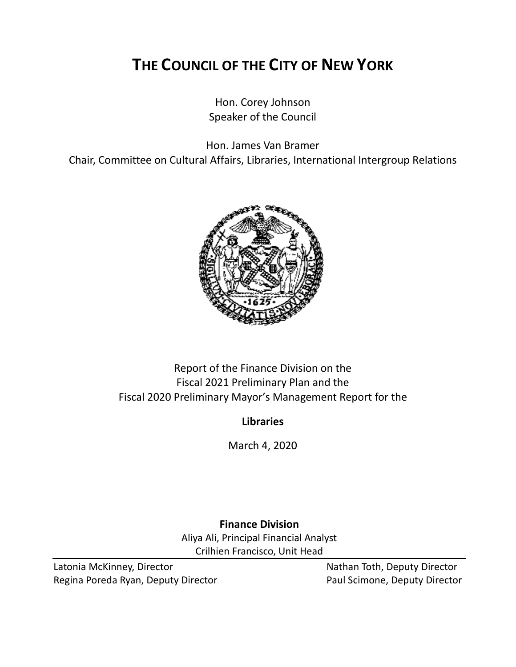# **THE COUNCIL OF THE CITY OF NEW YORK**

Hon. Corey Johnson Speaker of the Council

Hon. James Van Bramer

Chair, Committee on Cultural Affairs, Libraries, International Intergroup Relations



# Report of the Finance Division on the Fiscal 2021 Preliminary Plan and the Fiscal 2020 Preliminary Mayor's Management Report for the

# **Libraries**

March 4, 2020

**Finance Division** Aliya Ali, Principal Financial Analyst Crilhien Francisco, Unit Head

Latonia McKinney, Director Nathan Toth, Deputy Director Regina Poreda Ryan, Deputy Director **Paul Scimone, Deputy Director**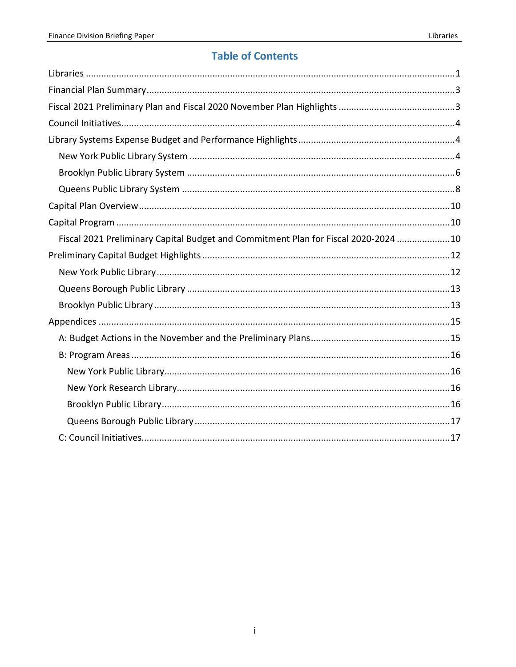# **Table of Contents**

| Fiscal 2021 Preliminary Capital Budget and Commitment Plan for Fiscal 2020-2024 10 |  |
|------------------------------------------------------------------------------------|--|
|                                                                                    |  |
|                                                                                    |  |
|                                                                                    |  |
|                                                                                    |  |
|                                                                                    |  |
|                                                                                    |  |
|                                                                                    |  |
|                                                                                    |  |
|                                                                                    |  |
|                                                                                    |  |
|                                                                                    |  |
|                                                                                    |  |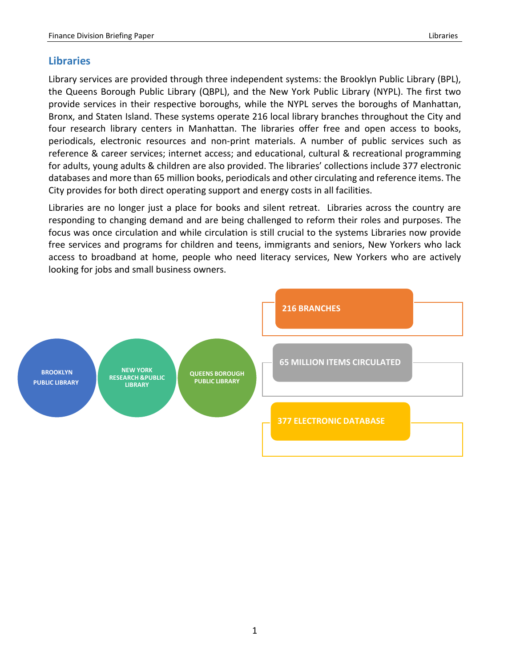## <span id="page-2-0"></span>**Libraries**

Library services are provided through three independent systems: the Brooklyn Public Library (BPL), the Queens Borough Public Library (QBPL), and the New York Public Library (NYPL). The first two provide services in their respective boroughs, while the NYPL serves the boroughs of Manhattan, Bronx, and Staten Island. These systems operate 216 local library branches throughout the City and four research library centers in Manhattan. The libraries offer free and open access to books, periodicals, electronic resources and non-print materials. A number of public services such as reference & career services; internet access; and educational, cultural & recreational programming for adults, young adults & children are also provided. The libraries' collections include 377 electronic databases and more than 65 million books, periodicals and other circulating and reference items. The City provides for both direct operating support and energy costs in all facilities.

Libraries are no longer just a place for books and silent retreat. Libraries across the country are responding to changing demand and are being challenged to reform their roles and purposes. The focus was once circulation and while circulation is still crucial to the systems Libraries now provide free services and programs for children and teens, immigrants and seniors, New Yorkers who lack access to broadband at home, people who need literacy services, New Yorkers who are actively looking for jobs and small business owners.

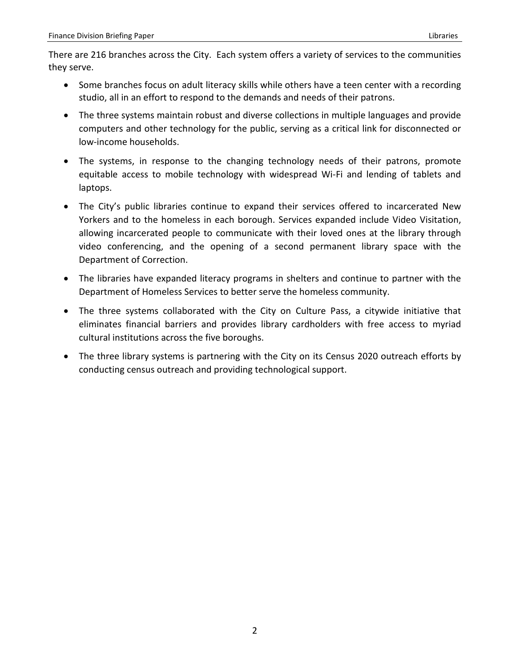There are 216 branches across the City. Each system offers a variety of services to the communities they serve.

- Some branches focus on adult literacy skills while others have a teen center with a recording studio, all in an effort to respond to the demands and needs of their patrons.
- The three systems maintain robust and diverse collections in multiple languages and provide computers and other technology for the public, serving as a critical link for disconnected or low-income households.
- The systems, in response to the changing technology needs of their patrons, promote equitable access to mobile technology with widespread Wi-Fi and lending of tablets and laptops.
- The City's public libraries continue to expand their services offered to incarcerated New Yorkers and to the homeless in each borough. Services expanded include Video Visitation, allowing incarcerated people to communicate with their loved ones at the library through video conferencing, and the opening of a second permanent library space with the Department of Correction.
- The libraries have expanded literacy programs in shelters and continue to partner with the Department of Homeless Services to better serve the homeless community.
- The three systems collaborated with the City on Culture Pass, a citywide initiative that eliminates financial barriers and provides library cardholders with free access to myriad cultural institutions across the five boroughs.
- The three library systems is partnering with the City on its Census 2020 outreach efforts by conducting census outreach and providing technological support.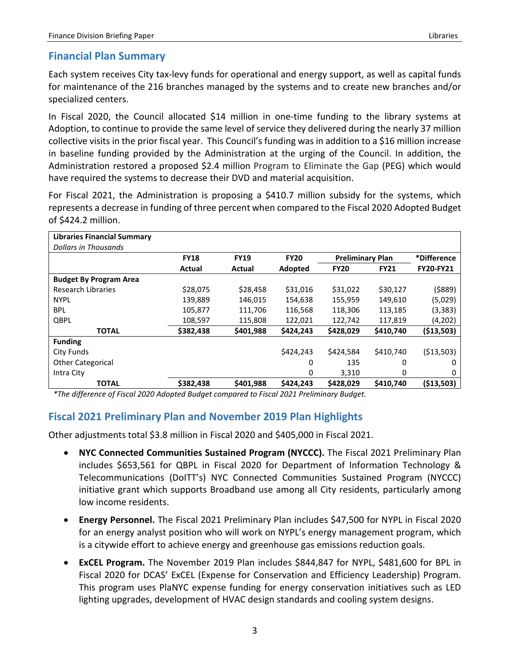## <span id="page-4-0"></span>**Financial Plan Summary**

Each system receives City tax-levy funds for operational and energy support, as well as capital funds for maintenance of the 216 branches managed by the systems and to create new branches and/or specialized centers.

In Fiscal 2020, the Council allocated \$14 million in one-time funding to the library systems at Adoption, to continue to provide the same level of service they delivered during the nearly 37 million collective visits in the prior fiscal year. This Council's funding was in addition to a \$16 million increase in baseline funding provided by the Administration at the urging of the Council. In addition, the Administration restored a proposed \$2.4 million Program to Eliminate the Gap (PEG) which would have required the systems to decrease their DVD and material acquisition.

For Fiscal 2021, the Administration is proposing a \$410.7 million subsidy for the systems, which represents a decrease in funding of three percent when compared to the Fiscal 2020 Adopted Budget of \$424.2 million.

| <b>Libraries Financial Summary</b> |             |             |             |                         |             |                  |
|------------------------------------|-------------|-------------|-------------|-------------------------|-------------|------------------|
| Dollars in Thousands               |             |             |             |                         |             |                  |
|                                    | <b>FY18</b> | <b>FY19</b> | <b>FY20</b> | <b>Preliminary Plan</b> |             | *Difference      |
|                                    | Actual      | Actual      | Adopted     | <b>FY20</b>             | <b>FY21</b> | <b>FY20-FY21</b> |
| <b>Budget By Program Area</b>      |             |             |             |                         |             |                  |
| Research Libraries                 | \$28,075    | \$28,458    | \$31,016    | \$31,022                | \$30,127    | (\$889)          |
| <b>NYPL</b>                        | 139,889     | 146,015     | 154,638     | 155,959                 | 149,610     | (5,029)          |
| <b>BPL</b>                         | 105,877     | 111,706     | 116,568     | 118,306                 | 113,185     | (3,383)          |
| QBPL                               | 108,597     | 115,808     | 122,021     | 122,742                 | 117,819     | (4,202)          |
| <b>TOTAL</b>                       | \$382,438   | \$401,988   | \$424,243   | \$428,029               | \$410,740   | ( \$13,503)      |
| <b>Funding</b>                     |             |             |             |                         |             |                  |
| City Funds                         |             |             | \$424,243   | \$424,584               | \$410,740   | ( \$13,503)      |
| <b>Other Categorical</b>           |             |             | 0           | 135                     | 0           | 0                |
| Intra City                         |             |             | 0           | 3,310                   | 0           | 0                |
| <b>TOTAL</b>                       | \$382,438   | \$401,988   | \$424,243   | \$428,029               | \$410,740   | (513,503)        |

<span id="page-4-1"></span>*\*The difference of Fiscal 2020 Adopted Budget compared to Fiscal 2021 Preliminary Budget.*

# **Fiscal 2021 Preliminary Plan and November 2019 Plan Highlights**

Other adjustments total \$3.8 million in Fiscal 2020 and \$405,000 in Fiscal 2021.

- **NYC Connected Communities Sustained Program (NYCCC).** The Fiscal 2021 Preliminary Plan includes \$653,561 for QBPL in Fiscal 2020 for Department of Information Technology & Telecommunications (DoITT's) NYC Connected Communities Sustained Program (NYCCC) initiative grant which supports Broadband use among all City residents, particularly among low income residents.
- **Energy Personnel.** The Fiscal 2021 Preliminary Plan includes \$47,500 for NYPL in Fiscal 2020 for an energy analyst position who will work on NYPL's energy management program, which is a citywide effort to achieve energy and greenhouse gas emissions reduction goals.
- **ExCEL Program.** The November 2019 Plan includes \$844,847 for NYPL, \$481,600 for BPL in Fiscal 2020 for DCAS' ExCEL (Expense for Conservation and Efficiency Leadership) Program. This program uses PlaNYC expense funding for energy conservation initiatives such as LED lighting upgrades, development of HVAC design standards and cooling system designs.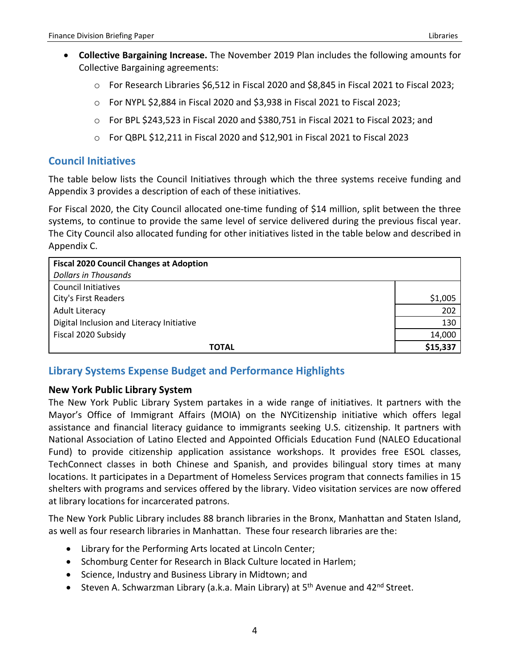- **Collective Bargaining Increase.** The November 2019 Plan includes the following amounts for Collective Bargaining agreements:
	- o For Research Libraries \$6,512 in Fiscal 2020 and \$8,845 in Fiscal 2021 to Fiscal 2023;
	- o For NYPL \$2,884 in Fiscal 2020 and \$3,938 in Fiscal 2021 to Fiscal 2023;
	- o For BPL \$243,523 in Fiscal 2020 and \$380,751 in Fiscal 2021 to Fiscal 2023; and
	- $\circ$  For QBPL \$12,211 in Fiscal 2020 and \$12,901 in Fiscal 2021 to Fiscal 2023

## <span id="page-5-0"></span>**Council Initiatives**

The table below lists the Council Initiatives through which the three systems receive funding and Appendix 3 provides a description of each of these initiatives.

For Fiscal 2020, the City Council allocated one-time funding of \$14 million, split between the three systems, to continue to provide the same level of service delivered during the previous fiscal year. The City Council also allocated funding for other initiatives listed in the table below and described in Appendix C.

| <b>Fiscal 2020 Council Changes at Adoption</b> |          |
|------------------------------------------------|----------|
| <b>Dollars in Thousands</b>                    |          |
| <b>Council Initiatives</b>                     |          |
| City's First Readers                           | \$1,005  |
| <b>Adult Literacy</b>                          | 202      |
| Digital Inclusion and Literacy Initiative      | 130      |
| Fiscal 2020 Subsidy                            | 14,000   |
| <b>TOTAL</b>                                   | \$15,337 |

# <span id="page-5-1"></span>**Library Systems Expense Budget and Performance Highlights**

## <span id="page-5-2"></span>**New York Public Library System**

The New York Public Library System partakes in a wide range of initiatives. It partners with the Mayor's Office of Immigrant Affairs (MOIA) on the NYCitizenship initiative which offers legal assistance and financial literacy guidance to immigrants seeking U.S. citizenship. It partners with National Association of Latino Elected and Appointed Officials Education Fund (NALEO Educational Fund) to provide citizenship application assistance workshops. It provides free ESOL classes, TechConnect classes in both Chinese and Spanish, and provides bilingual story times at many locations. It participates in a Department of Homeless Services program that connects families in 15 shelters with programs and services offered by the library. Video visitation services are now offered at library locations for incarcerated patrons.

The New York Public Library includes 88 branch libraries in the Bronx, Manhattan and Staten Island, as well as four research libraries in Manhattan. These four research libraries are the:

- Library for the Performing Arts located at Lincoln Center;
- Schomburg Center for Research in Black Culture located in Harlem;
- Science, Industry and Business Library in Midtown; and
- Steven A. Schwarzman Library (a.k.a. Main Library) at  $5<sup>th</sup>$  Avenue and  $42<sup>nd</sup>$  Street.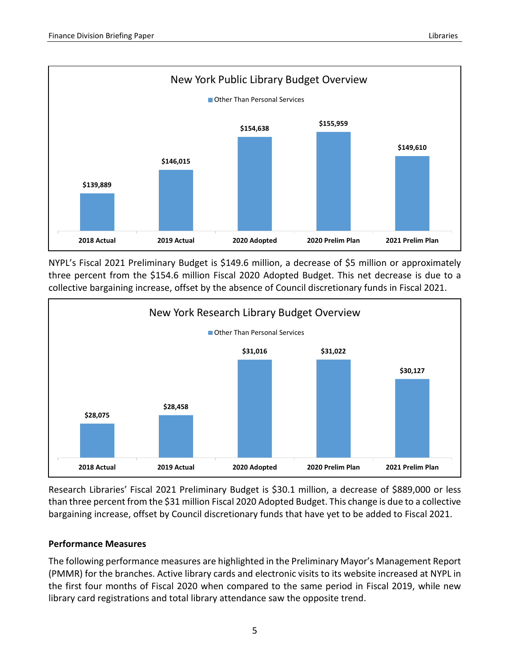

NYPL's Fiscal 2021 Preliminary Budget is \$149.6 million, a decrease of \$5 million or approximately three percent from the \$154.6 million Fiscal 2020 Adopted Budget. This net decrease is due to a collective bargaining increase, offset by the absence of Council discretionary funds in Fiscal 2021.



Research Libraries' Fiscal 2021 Preliminary Budget is \$30.1 million, a decrease of \$889,000 or less than three percent from the \$31 million Fiscal 2020 Adopted Budget. This change is due to a collective bargaining increase, offset by Council discretionary funds that have yet to be added to Fiscal 2021.

## **Performance Measures**

The following performance measures are highlighted in the Preliminary Mayor's Management Report (PMMR) for the branches. Active library cards and electronic visits to its website increased at NYPL in the first four months of Fiscal 2020 when compared to the same period in Fiscal 2019, while new library card registrations and total library attendance saw the opposite trend.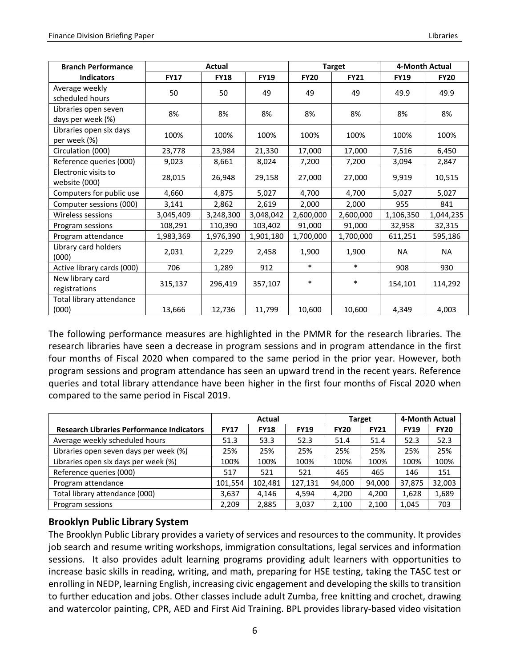| <b>Branch Performance</b>         |             | Actual      |             |             | <b>Target</b> | 4-Month Actual |             |
|-----------------------------------|-------------|-------------|-------------|-------------|---------------|----------------|-------------|
| <b>Indicators</b>                 | <b>FY17</b> | <b>FY18</b> | <b>FY19</b> | <b>FY20</b> | <b>FY21</b>   | <b>FY19</b>    | <b>FY20</b> |
| Average weekly                    | 50          | 50          | 49          | 49          | 49            | 49.9           | 49.9        |
| scheduled hours                   |             |             |             |             |               |                |             |
| Libraries open seven              | 8%          | 8%          | 8%          | 8%          | 8%            | 8%             | 8%          |
| days per week (%)                 |             |             |             |             |               |                |             |
| Libraries open six days           | 100%        | 100%        | 100%        | 100%        | 100%          | 100%           | 100%        |
| per week (%)                      |             |             |             |             |               |                |             |
| Circulation (000)                 | 23,778      | 23,984      | 21,330      | 17,000      | 17,000        | 7,516          | 6,450       |
| Reference queries (000)           | 9,023       | 8,661       | 8,024       | 7,200       | 7,200         | 3,094          | 2,847       |
| Electronic visits to              |             |             |             |             |               |                |             |
| website (000)                     | 28,015      | 26,948      | 29,158      | 27,000      | 27,000        | 9,919          | 10,515      |
| Computers for public use          | 4,660       | 4,875       | 5,027       | 4,700       | 4,700         | 5,027          | 5,027       |
| Computer sessions (000)           | 3,141       | 2,862       | 2,619       | 2,000       | 2,000         | 955            | 841         |
| Wireless sessions                 | 3,045,409   | 3,248,300   | 3,048,042   | 2,600,000   | 2,600,000     | 1,106,350      | 1,044,235   |
| Program sessions                  | 108,291     | 110,390     | 103,402     | 91,000      | 91,000        | 32,958         | 32,315      |
| Program attendance                | 1,983,369   | 1,976,390   | 1,901,180   | 1,700,000   | 1,700,000     | 611,251        | 595,186     |
| Library card holders<br>(000)     | 2,031       | 2,229       | 2,458       | 1,900       | 1,900         | <b>NA</b>      | <b>NA</b>   |
| Active library cards (000)        | 706         | 1,289       | 912         | $\ast$      | $\ast$        | 908            | 930         |
| New library card<br>registrations | 315,137     | 296,419     | 357,107     | $\ast$      | $\ast$        | 154,101        | 114,292     |
| Total library attendance<br>(000) | 13,666      | 12,736      | 11,799      | 10,600      | 10,600        | 4,349          | 4,003       |

The following performance measures are highlighted in the PMMR for the research libraries. The research libraries have seen a decrease in program sessions and in program attendance in the first four months of Fiscal 2020 when compared to the same period in the prior year. However, both program sessions and program attendance has seen an upward trend in the recent years. Reference queries and total library attendance have been higher in the first four months of Fiscal 2020 when compared to the same period in Fiscal 2019.

|                                                  | Actual      |             |             |             | Target      | 4-Month Actual |             |
|--------------------------------------------------|-------------|-------------|-------------|-------------|-------------|----------------|-------------|
| <b>Research Libraries Performance Indicators</b> | <b>FY17</b> | <b>FY18</b> | <b>FY19</b> | <b>FY20</b> | <b>FY21</b> | <b>FY19</b>    | <b>FY20</b> |
| Average weekly scheduled hours                   | 51.3        | 53.3        | 52.3        | 51.4        | 51.4        | 52.3           | 52.3        |
| Libraries open seven days per week (%)           | 25%         | 25%         | 25%         | 25%         | 25%         | 25%            | 25%         |
| Libraries open six days per week (%)             | 100%        | 100%        | 100%        | 100%        | 100%        | 100%           | 100%        |
| Reference queries (000)                          | 517         | 521         | 521         | 465         | 465         | 146            | 151         |
| Program attendance                               | 101,554     | 102,481     | 127,131     | 94,000      | 94,000      | 37,875         | 32,003      |
| Total library attendance (000)                   | 3.637       | 4.146       | 4.594       | 4.200       | 4.200       | 1,628          | 1,689       |
| Program sessions                                 | 2.209       | 2.885       | 3,037       | 2.100       | 2.100       | 1.045          | 703         |

## <span id="page-7-0"></span>**Brooklyn Public Library System**

The Brooklyn Public Library provides a variety of services and resources to the community. It provides job search and resume writing workshops, immigration consultations, legal services and information sessions. It also provides adult learning programs providing adult learners with opportunities to increase basic skills in reading, writing, and math, preparing for HSE testing, taking the TASC test or enrolling in NEDP, learning English, increasing civic engagement and developing the skills to transition to further education and jobs. Other classes include adult Zumba, free knitting and crochet, drawing and watercolor painting, CPR, AED and First Aid Training. BPL provides library-based video visitation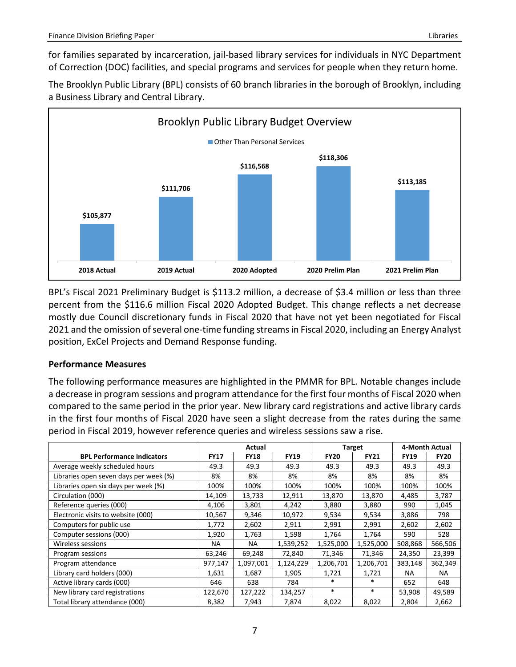for families separated by incarceration, jail-based library services for individuals in NYC Department of Correction (DOC) facilities, and special programs and services for people when they return home.

The Brooklyn Public Library (BPL) consists of 60 branch libraries in the borough of Brooklyn, including a Business Library and Central Library.



BPL's Fiscal 2021 Preliminary Budget is \$113.2 million, a decrease of \$3.4 million or less than three percent from the \$116.6 million Fiscal 2020 Adopted Budget. This change reflects a net decrease mostly due Council discretionary funds in Fiscal 2020 that have not yet been negotiated for Fiscal 2021 and the omission of several one-time funding streamsin Fiscal 2020, including an Energy Analyst position, ExCel Projects and Demand Response funding.

### **Performance Measures**

The following performance measures are highlighted in the PMMR for BPL. Notable changes include a decrease in program sessions and program attendance for the first four months of Fiscal 2020 when compared to the same period in the prior year. New library card registrations and active library cards in the first four months of Fiscal 2020 have seen a slight decrease from the rates during the same period in Fiscal 2019, however reference queries and wireless sessions saw a rise.

|                                        | Actual      |             |             |             | <b>Target</b> | 4-Month Actual |             |
|----------------------------------------|-------------|-------------|-------------|-------------|---------------|----------------|-------------|
| <b>BPL Performance Indicators</b>      | <b>FY17</b> | <b>FY18</b> | <b>FY19</b> | <b>FY20</b> | <b>FY21</b>   | <b>FY19</b>    | <b>FY20</b> |
| Average weekly scheduled hours         | 49.3        | 49.3        | 49.3        | 49.3        | 49.3          | 49.3           | 49.3        |
| Libraries open seven days per week (%) | 8%          | 8%          | 8%          | 8%          | 8%            | 8%             | 8%          |
| Libraries open six days per week (%)   | 100%        | 100%        | 100%        | 100%        | 100%          | 100%           | 100%        |
| Circulation (000)                      | 14,109      | 13,733      | 12,911      | 13,870      | 13,870        | 4,485          | 3,787       |
| Reference queries (000)                | 4,106       | 3,801       | 4,242       | 3,880       | 3,880         | 990            | 1,045       |
| Electronic visits to website (000)     | 10,567      | 9,346       | 10,972      | 9,534       | 9,534         | 3,886          | 798         |
| Computers for public use               | 1,772       | 2,602       | 2,911       | 2,991       | 2,991         | 2,602          | 2,602       |
| Computer sessions (000)                | 1,920       | 1,763       | 1,598       | 1,764       | 1,764         | 590            | 528         |
| Wireless sessions                      | NA.         | <b>NA</b>   | 1,539,252   | 1,525,000   | 1,525,000     | 508,868        | 566,506     |
| Program sessions                       | 63,246      | 69,248      | 72,840      | 71,346      | 71,346        | 24,350         | 23,399      |
| Program attendance                     | 977,147     | 1,097,001   | 1,124,229   | 1,206,701   | 1,206,701     | 383,148        | 362,349     |
| Library card holders (000)             | 1,631       | 1,687       | 1,905       | 1,721       | 1,721         | <b>NA</b>      | NA          |
| Active library cards (000)             | 646         | 638         | 784         | $\ast$      | $\ast$        | 652            | 648         |
| New library card registrations         | 122,670     | 127,222     | 134,257     | $\ast$      | $\ast$        | 53,908         | 49,589      |
| Total library attendance (000)         | 8,382       | 7,943       | 7,874       | 8,022       | 8,022         | 2,804          | 2,662       |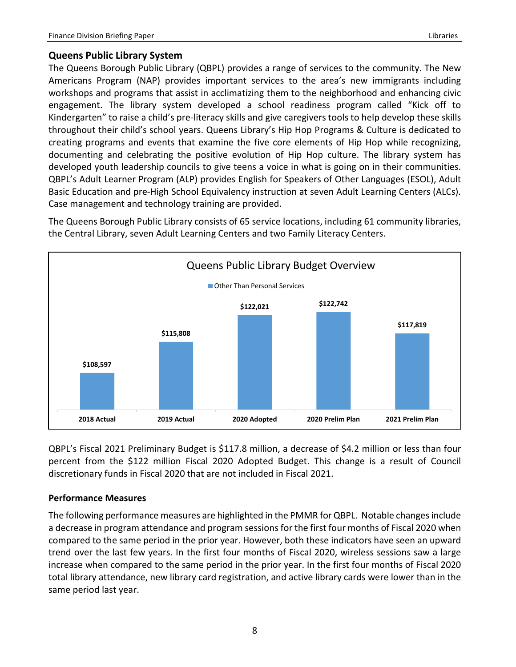## <span id="page-9-0"></span>**Queens Public Library System**

The Queens Borough Public Library (QBPL) provides a range of services to the community. The New Americans Program (NAP) provides important services to the area's new immigrants including workshops and programs that assist in acclimatizing them to the neighborhood and enhancing civic engagement. The library system developed a school readiness program called "Kick off to Kindergarten" to raise a child's pre-literacy skills and give caregivers tools to help develop these skills throughout their child's school years. Queens Library's Hip Hop Programs & Culture is dedicated to creating programs and events that examine the five core elements of Hip Hop while recognizing, documenting and celebrating the positive evolution of Hip Hop culture. The library system has developed youth leadership councils to give teens a voice in what is going on in their communities. QBPL's Adult Learner Program (ALP) provides English for Speakers of Other Languages (ESOL), Adult Basic Education and pre-High School Equivalency instruction at seven Adult Learning Centers (ALCs). Case management and technology training are provided.

The Queens Borough Public Library consists of 65 service locations, including 61 community libraries, the Central Library, seven Adult Learning Centers and two Family Literacy Centers.



QBPL's Fiscal 2021 Preliminary Budget is \$117.8 million, a decrease of \$4.2 million or less than four percent from the \$122 million Fiscal 2020 Adopted Budget. This change is a result of Council discretionary funds in Fiscal 2020 that are not included in Fiscal 2021.

## **Performance Measures**

The following performance measures are highlighted in the PMMR for QBPL. Notable changes include a decrease in program attendance and program sessions for the first four months of Fiscal 2020 when compared to the same period in the prior year. However, both these indicators have seen an upward trend over the last few years. In the first four months of Fiscal 2020, wireless sessions saw a large increase when compared to the same period in the prior year. In the first four months of Fiscal 2020 total library attendance, new library card registration, and active library cards were lower than in the same period last year.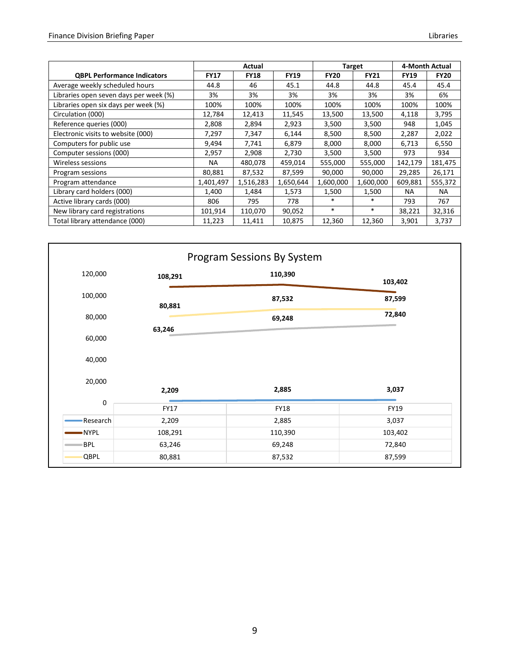|                                        | Actual      |             |             | <b>Target</b> | 4-Month Actual |             |             |
|----------------------------------------|-------------|-------------|-------------|---------------|----------------|-------------|-------------|
| <b>QBPL Performance Indicators</b>     | <b>FY17</b> | <b>FY18</b> | <b>FY19</b> | <b>FY20</b>   | <b>FY21</b>    | <b>FY19</b> | <b>FY20</b> |
| Average weekly scheduled hours         | 44.8        | 46          | 45.1        | 44.8          | 44.8           | 45.4        | 45.4        |
| Libraries open seven days per week (%) | 3%          | 3%          | 3%          | 3%            | 3%             | 3%          | 6%          |
| Libraries open six days per week (%)   | 100%        | 100%        | 100%        | 100%          | 100%           | 100%        | 100%        |
| Circulation (000)                      | 12,784      | 12,413      | 11,545      | 13,500        | 13,500         | 4,118       | 3,795       |
| Reference queries (000)                | 2,808       | 2,894       | 2,923       | 3,500         | 3,500          | 948         | 1,045       |
| Electronic visits to website (000)     | 7,297       | 7,347       | 6,144       | 8,500         | 8,500          | 2,287       | 2,022       |
| Computers for public use               | 9,494       | 7,741       | 6,879       | 8,000         | 8,000          | 6,713       | 6,550       |
| Computer sessions (000)                | 2,957       | 2,908       | 2,730       | 3,500         | 3,500          | 973         | 934         |
| Wireless sessions                      | <b>NA</b>   | 480,078     | 459,014     | 555,000       | 555,000        | 142,179     | 181,475     |
| Program sessions                       | 80,881      | 87,532      | 87,599      | 90,000        | 90,000         | 29,285      | 26,171      |
| Program attendance                     | 1,401,497   | 1,516,283   | 1,650,644   | 1,600,000     | 1,600,000      | 609,881     | 555,372     |
| Library card holders (000)             | 1,400       | 1,484       | 1,573       | 1,500         | 1,500          | NA.         | NA.         |
| Active library cards (000)             | 806         | 795         | 778         | $\ast$        | $\ast$         | 793         | 767         |
| New library card registrations         | 101,914     | 110,070     | 90,052      | $\ast$        | $\ast$         | 38,221      | 32,316      |
| Total library attendance (000)         | 11,223      | 11,411      | 10,875      | 12,360        | 12,360         | 3,901       | 3,737       |

|            |         | Program Sessions By System |         |
|------------|---------|----------------------------|---------|
| 120,000    | 108,291 | 110,390                    | 103,402 |
| 100,000    | 80,881  | 87,532                     | 87,599  |
| 80,000     |         | 69,248                     | 72,840  |
| 60,000     | 63,246  |                            |         |
| 40,000     |         |                            |         |
| 20,000     | 2,209   | 2,885                      | 3,037   |
| 0          | FY17    | <b>FY18</b>                | FY19    |
| Research   | 2,209   | 2,885                      | 3,037   |
| -NYPL      | 108,291 | 110,390                    | 103,402 |
| <b>BPL</b> | 63,246  | 69,248                     | 72,840  |
| QBPL       | 80,881  | 87,532                     | 87,599  |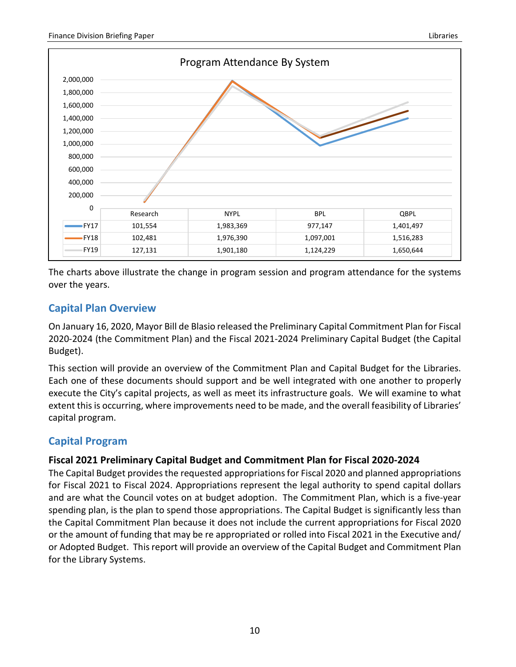

The charts above illustrate the change in program session and program attendance for the systems over the years.

# <span id="page-11-0"></span>**Capital Plan Overview**

On January 16, 2020, Mayor Bill de Blasio released the Preliminary Capital Commitment Plan for Fiscal 2020-2024 (the Commitment Plan) and the Fiscal 2021-2024 Preliminary Capital Budget (the Capital Budget).

This section will provide an overview of the Commitment Plan and Capital Budget for the Libraries. Each one of these documents should support and be well integrated with one another to properly execute the City's capital projects, as well as meet its infrastructure goals. We will examine to what extent this is occurring, where improvements need to be made, and the overall feasibility of Libraries' capital program.

# <span id="page-11-1"></span>**Capital Program**

## <span id="page-11-2"></span>**Fiscal 2021 Preliminary Capital Budget and Commitment Plan for Fiscal 2020-2024**

The Capital Budget provides the requested appropriations for Fiscal 2020 and planned appropriations for Fiscal 2021 to Fiscal 2024. Appropriations represent the legal authority to spend capital dollars and are what the Council votes on at budget adoption. The Commitment Plan, which is a five-year spending plan, is the plan to spend those appropriations. The Capital Budget is significantly less than the Capital Commitment Plan because it does not include the current appropriations for Fiscal 2020 or the amount of funding that may be re appropriated or rolled into Fiscal 2021 in the Executive and/ or Adopted Budget. This report will provide an overview of the Capital Budget and Commitment Plan for the Library Systems.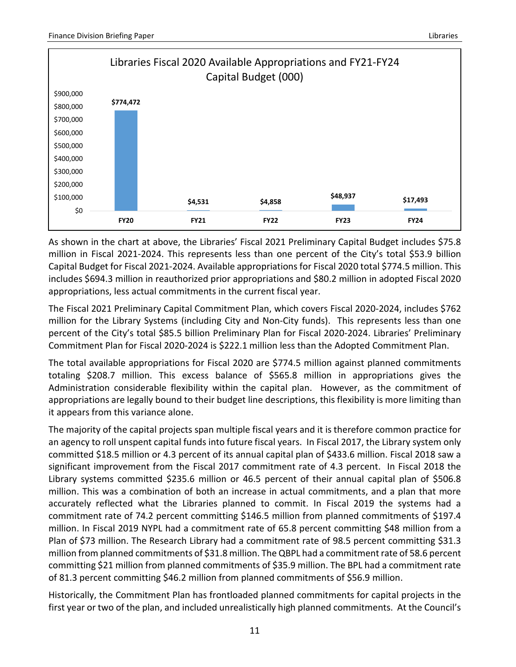

As shown in the chart at above, the Libraries' Fiscal 2021 Preliminary Capital Budget includes \$75.8 million in Fiscal 2021-2024. This represents less than one percent of the City's total \$53.9 billion Capital Budget for Fiscal 2021-2024. Available appropriations for Fiscal 2020 total \$774.5 million. This includes \$694.3 million in reauthorized prior appropriations and \$80.2 million in adopted Fiscal 2020 appropriations, less actual commitments in the current fiscal year.

The Fiscal 2021 Preliminary Capital Commitment Plan, which covers Fiscal 2020-2024, includes \$762 million for the Library Systems (including City and Non-City funds). This represents less than one percent of the City's total \$85.5 billion Preliminary Plan for Fiscal 2020-2024. Libraries' Preliminary Commitment Plan for Fiscal 2020-2024 is \$222.1 million less than the Adopted Commitment Plan.

The total available appropriations for Fiscal 2020 are \$774.5 million against planned commitments totaling \$208.7 million. This excess balance of \$565.8 million in appropriations gives the Administration considerable flexibility within the capital plan. However, as the commitment of appropriations are legally bound to their budget line descriptions, this flexibility is more limiting than it appears from this variance alone.

The majority of the capital projects span multiple fiscal years and it is therefore common practice for an agency to roll unspent capital funds into future fiscal years. In Fiscal 2017, the Library system only committed \$18.5 million or 4.3 percent of its annual capital plan of \$433.6 million. Fiscal 2018 saw a significant improvement from the Fiscal 2017 commitment rate of 4.3 percent. In Fiscal 2018 the Library systems committed \$235.6 million or 46.5 percent of their annual capital plan of \$506.8 million. This was a combination of both an increase in actual commitments, and a plan that more accurately reflected what the Libraries planned to commit. In Fiscal 2019 the systems had a commitment rate of 74.2 percent committing \$146.5 million from planned commitments of \$197.4 million. In Fiscal 2019 NYPL had a commitment rate of 65.8 percent committing \$48 million from a Plan of \$73 million. The Research Library had a commitment rate of 98.5 percent committing \$31.3 million from planned commitments of \$31.8 million. The QBPL had a commitment rate of 58.6 percent committing \$21 million from planned commitments of \$35.9 million. The BPL had a commitment rate of 81.3 percent committing \$46.2 million from planned commitments of \$56.9 million.

Historically, the Commitment Plan has frontloaded planned commitments for capital projects in the first year or two of the plan, and included unrealistically high planned commitments. At the Council's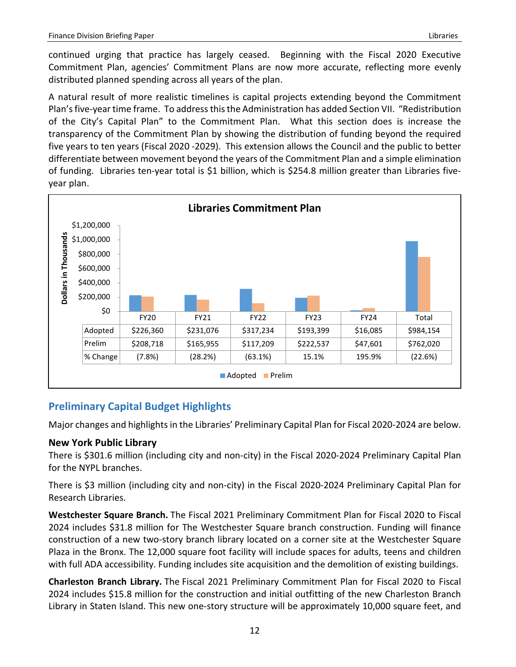continued urging that practice has largely ceased. Beginning with the Fiscal 2020 Executive Commitment Plan, agencies' Commitment Plans are now more accurate, reflecting more evenly distributed planned spending across all years of the plan.

A natural result of more realistic timelines is capital projects extending beyond the Commitment Plan's five-year time frame. To address this the Administration has added Section VII. "Redistribution of the City's Capital Plan" to the Commitment Plan. What this section does is increase the transparency of the Commitment Plan by showing the distribution of funding beyond the required five years to ten years (Fiscal 2020 -2029). This extension allows the Council and the public to better differentiate between movement beyond the years of the Commitment Plan and a simple elimination of funding. Libraries ten-year total is \$1 billion, which is \$254.8 million greater than Libraries fiveyear plan.



# <span id="page-13-0"></span>**Preliminary Capital Budget Highlights**

Major changes and highlights in the Libraries' Preliminary Capital Plan for Fiscal 2020-2024 are below.

## <span id="page-13-1"></span>**New York Public Library**

There is \$301.6 million (including city and non-city) in the Fiscal 2020-2024 Preliminary Capital Plan for the NYPL branches.

There is \$3 million (including city and non-city) in the Fiscal 2020-2024 Preliminary Capital Plan for Research Libraries.

**Westchester Square Branch.** The Fiscal 2021 Preliminary Commitment Plan for Fiscal 2020 to Fiscal 2024 includes \$31.8 million for The Westchester Square branch construction. Funding will finance construction of a new two-story branch library located on a corner site at the Westchester Square Plaza in the Bronx. The 12,000 square foot facility will include spaces for adults, teens and children with full ADA accessibility. Funding includes site acquisition and the demolition of existing buildings.

**Charleston Branch Library.** The Fiscal 2021 Preliminary Commitment Plan for Fiscal 2020 to Fiscal 2024 includes \$15.8 million for the construction and initial outfitting of the new Charleston Branch Library in Staten Island. This new one-story structure will be approximately 10,000 square feet, and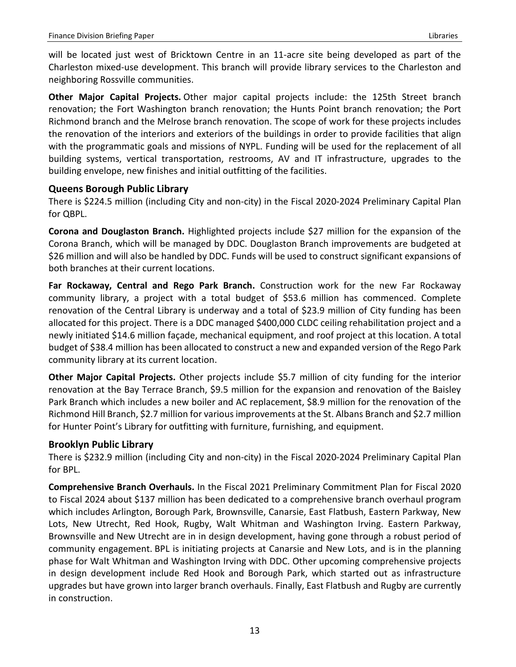will be located just west of Bricktown Centre in an 11-acre site being developed as part of the Charleston mixed-use development. This branch will provide library services to the Charleston and neighboring Rossville communities.

**Other Major Capital Projects.** Other major capital projects include: the 125th Street branch renovation; the Fort Washington branch renovation; the Hunts Point branch renovation; the Port Richmond branch and the Melrose branch renovation. The scope of work for these projects includes the renovation of the interiors and exteriors of the buildings in order to provide facilities that align with the programmatic goals and missions of NYPL. Funding will be used for the replacement of all building systems, vertical transportation, restrooms, AV and IT infrastructure, upgrades to the building envelope, new finishes and initial outfitting of the facilities.

## <span id="page-14-0"></span>**Queens Borough Public Library**

There is \$224.5 million (including City and non-city) in the Fiscal 2020-2024 Preliminary Capital Plan for QBPL.

**Corona and Douglaston Branch.** Highlighted projects include \$27 million for the expansion of the Corona Branch, which will be managed by DDC. Douglaston Branch improvements are budgeted at \$26 million and will also be handled by DDC. Funds will be used to construct significant expansions of both branches at their current locations.

**Far Rockaway, Central and Rego Park Branch.** Construction work for the new Far Rockaway community library, a project with a total budget of \$53.6 million has commenced. Complete renovation of the Central Library is underway and a total of \$23.9 million of City funding has been allocated for this project. There is a DDC managed \$400,000 CLDC ceiling rehabilitation project and a newly initiated \$14.6 million façade, mechanical equipment, and roof project at this location. A total budget of \$38.4 million has been allocated to construct a new and expanded version of the Rego Park community library at its current location.

**Other Major Capital Projects.** Other projects include \$5.7 million of city funding for the interior renovation at the Bay Terrace Branch, \$9.5 million for the expansion and renovation of the Baisley Park Branch which includes a new boiler and AC replacement, \$8.9 million for the renovation of the Richmond Hill Branch, \$2.7 million for various improvements at the St. Albans Branch and \$2.7 million for Hunter Point's Library for outfitting with furniture, furnishing, and equipment.

## <span id="page-14-1"></span>**Brooklyn Public Library**

There is \$232.9 million (including City and non-city) in the Fiscal 2020-2024 Preliminary Capital Plan for BPL.

**Comprehensive Branch Overhauls.** In the Fiscal 2021 Preliminary Commitment Plan for Fiscal 2020 to Fiscal 2024 about \$137 million has been dedicated to a comprehensive branch overhaul program which includes Arlington, Borough Park, Brownsville, Canarsie, East Flatbush, Eastern Parkway, New Lots, New Utrecht, Red Hook, Rugby, Walt Whitman and Washington Irving. Eastern Parkway, Brownsville and New Utrecht are in in design development, having gone through a robust period of community engagement. BPL is initiating projects at Canarsie and New Lots, and is in the planning phase for Walt Whitman and Washington Irving with DDC. Other upcoming comprehensive projects in design development include Red Hook and Borough Park, which started out as infrastructure upgrades but have grown into larger branch overhauls. Finally, East Flatbush and Rugby are currently in construction.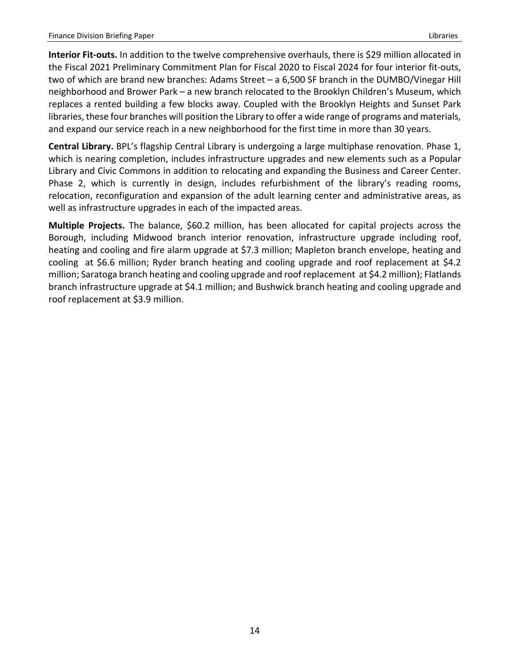**Interior Fit-outs.** In addition to the twelve comprehensive overhauls, there is \$29 million allocated in the Fiscal 2021 Preliminary Commitment Plan for Fiscal 2020 to Fiscal 2024 for four interior fit-outs, two of which are brand new branches: Adams Street – a 6,500 SF branch in the DUMBO/Vinegar Hill neighborhood and Brower Park – a new branch relocated to the Brooklyn Children's Museum, which replaces a rented building a few blocks away. Coupled with the Brooklyn Heights and Sunset Park libraries, these four branches will position the Library to offer a wide range of programs and materials, and expand our service reach in a new neighborhood for the first time in more than 30 years.

**Central Library.** BPL's flagship Central Library is undergoing a large multiphase renovation. Phase 1, which is nearing completion, includes infrastructure upgrades and new elements such as a Popular Library and Civic Commons in addition to relocating and expanding the Business and Career Center. Phase 2, which is currently in design, includes refurbishment of the library's reading rooms, relocation, reconfiguration and expansion of the adult learning center and administrative areas, as well as infrastructure upgrades in each of the impacted areas.

**Multiple Projects.** The balance, \$60.2 million, has been allocated for capital projects across the Borough, including Midwood branch interior renovation, infrastructure upgrade including roof, heating and cooling and fire alarm upgrade at \$7.3 million; Mapleton branch envelope, heating and cooling at \$6.6 million; Ryder branch heating and cooling upgrade and roof replacement at \$4.2 million; Saratoga branch heating and cooling upgrade and roof replacement at \$4.2 million); Flatlands branch infrastructure upgrade at \$4.1 million; and Bushwick branch heating and cooling upgrade and roof replacement at \$3.9 million.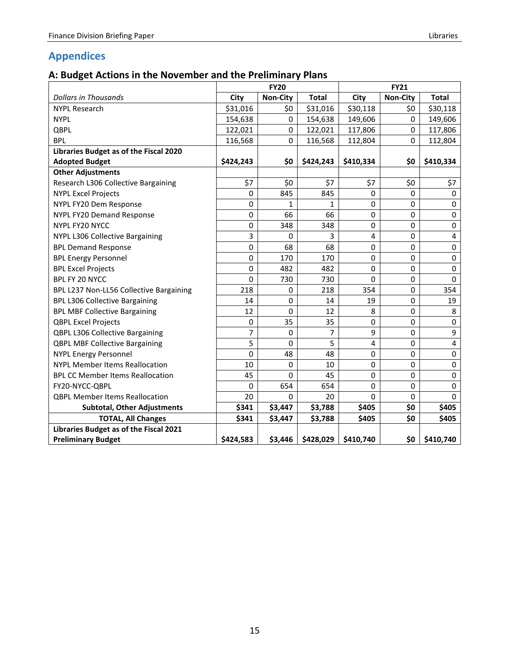# <span id="page-16-1"></span><span id="page-16-0"></span>**A: Budget Actions in the November and the Preliminary Plans**

|                                         | <b>FY20</b>    |                 |              |           | <b>FY21</b>     |              |  |  |
|-----------------------------------------|----------------|-----------------|--------------|-----------|-----------------|--------------|--|--|
| <b>Dollars in Thousands</b>             | City           | <b>Non-City</b> | <b>Total</b> | City      | <b>Non-City</b> | <b>Total</b> |  |  |
| <b>NYPL Research</b>                    | \$31,016       | \$0             | \$31,016     | \$30,118  | \$0             | \$30,118     |  |  |
| <b>NYPL</b>                             | 154,638        | 0               | 154,638      | 149,606   | 0               | 149,606      |  |  |
| QBPL                                    | 122,021        | 0               | 122,021      | 117,806   | $\Omega$        | 117,806      |  |  |
| <b>BPL</b>                              | 116,568        | 0               | 116,568      | 112,804   | 0               | 112,804      |  |  |
| Libraries Budget as of the Fiscal 2020  |                |                 |              |           |                 |              |  |  |
| <b>Adopted Budget</b>                   | \$424,243      | \$0             | \$424,243    | \$410,334 | \$0             | \$410,334    |  |  |
| <b>Other Adjustments</b>                |                |                 |              |           |                 |              |  |  |
| Research L306 Collective Bargaining     | \$7            | \$0             | \$7          | \$7       | \$0             | \$7          |  |  |
| <b>NYPL Excel Projects</b>              | 0              | 845             | 845          | 0         | $\mathbf{0}$    | 0            |  |  |
| NYPL FY20 Dem Response                  | 0              | $\mathbf{1}$    | $\mathbf{1}$ | 0         | 0               | $\mathbf 0$  |  |  |
| NYPL FY20 Demand Response               | 0              | 66              | 66           | 0         | 0               | $\mathbf 0$  |  |  |
| <b>NYPL FY20 NYCC</b>                   | 0              | 348             | 348          | 0         | 0               | $\pmb{0}$    |  |  |
| NYPL L306 Collective Bargaining         | 3              | 0               | 3            | 4         | 0               | $\pmb{4}$    |  |  |
| <b>BPL Demand Response</b>              | $\pmb{0}$      | 68              | 68           | 0         | 0               | $\pmb{0}$    |  |  |
| <b>BPL Energy Personnel</b>             | 0              | 170             | 170          | 0         | 0               | $\pmb{0}$    |  |  |
| <b>BPL Excel Projects</b>               | 0              | 482             | 482          | 0         | 0               | $\mathbf 0$  |  |  |
| BPL FY 20 NYCC                          | 0              | 730             | 730          | $\Omega$  | 0               | 0            |  |  |
| BPL L237 Non-LL56 Collective Bargaining | 218            | 0               | 218          | 354       | 0               | 354          |  |  |
| <b>BPL L306 Collective Bargaining</b>   | 14             | $\mathbf 0$     | 14           | 19        | 0               | 19           |  |  |
| <b>BPL MBF Collective Bargaining</b>    | 12             | $\Omega$        | 12           | 8         | 0               | 8            |  |  |
| <b>QBPL Excel Projects</b>              | 0              | 35              | 35           | 0         | $\Omega$        | $\mathbf 0$  |  |  |
| QBPL L306 Collective Bargaining         | $\overline{7}$ | 0               | 7            | 9         | 0               | 9            |  |  |
| <b>QBPL MBF Collective Bargaining</b>   | 5              | $\mathbf 0$     | 5            | 4         | 0               | $\pmb{4}$    |  |  |
| <b>NYPL Energy Personnel</b>            | 0              | 48              | 48           | 0         | 0               | $\pmb{0}$    |  |  |
| <b>NYPL Member Items Reallocation</b>   | 10             | $\Omega$        | 10           | 0         | 0               | $\mathbf 0$  |  |  |
| <b>BPL CC Member Items Reallocation</b> | 45             | $\Omega$        | 45           | 0         | 0               | $\mathbf 0$  |  |  |
| FY20-NYCC-QBPL                          | 0              | 654             | 654          | 0         | 0               | $\pmb{0}$    |  |  |
| <b>QBPL Member Items Reallocation</b>   | 20             | 0               | 20           | 0         | $\mathbf 0$     | $\Omega$     |  |  |
| <b>Subtotal, Other Adjustments</b>      | \$341          | \$3,447         | \$3,788      | \$405     | \$0             | \$405        |  |  |
| <b>TOTAL, All Changes</b>               | \$341          | \$3,447         | \$3,788      | \$405     | \$0             | \$405        |  |  |
| Libraries Budget as of the Fiscal 2021  |                |                 |              |           |                 |              |  |  |
| <b>Preliminary Budget</b>               | \$424,583      | \$3,446         | \$428,029    | \$410,740 | \$0             | \$410,740    |  |  |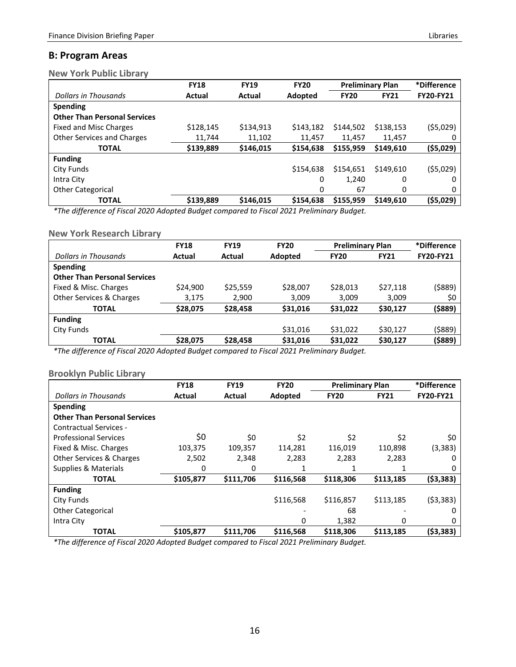## <span id="page-17-0"></span>**B: Program Areas**

<span id="page-17-1"></span>**New York Public Library**

|                                     | <b>FY18</b> | <b>FY19</b> | <b>FY20</b> | <b>Preliminary Plan</b> |             | *Difference      |
|-------------------------------------|-------------|-------------|-------------|-------------------------|-------------|------------------|
| Dollars in Thousands                | Actual      | Actual      | Adopted     | <b>FY20</b>             | <b>FY21</b> | <b>FY20-FY21</b> |
| <b>Spending</b>                     |             |             |             |                         |             |                  |
| <b>Other Than Personal Services</b> |             |             |             |                         |             |                  |
| Fixed and Misc Charges              | \$128,145   | \$134,913   | \$143,182   | \$144,502               | \$138,153   | (55,029)         |
| <b>Other Services and Charges</b>   | 11,744      | 11,102      | 11.457      | 11.457                  | 11.457      |                  |
| <b>TOTAL</b>                        | \$139,889   | \$146,015   | \$154,638   | \$155,959               | \$149,610   | (\$5,029)        |
| <b>Funding</b>                      |             |             |             |                         |             |                  |
| City Funds                          |             |             | \$154,638   | \$154,651               | \$149,610   | (55,029)         |
| Intra City                          |             |             | 0           | 1.240                   | 0           | 0                |
| <b>Other Categorical</b>            |             |             | 0           | 67                      | 0           | 0                |
| <b>TOTAL</b>                        | \$139,889   | \$146,015   | \$154,638   | \$155,959               | \$149,610   | (\$5,029)        |

*\*The difference of Fiscal 2020 Adopted Budget compared to Fiscal 2021 Preliminary Budget.*

#### <span id="page-17-2"></span>**New York Research Library**

|                                     | <b>FY18</b> | <b>FY19</b> | <b>FY20</b> | <b>Preliminary Plan</b> |             | *Difference      |
|-------------------------------------|-------------|-------------|-------------|-------------------------|-------------|------------------|
| Dollars in Thousands                | Actual      | Actual      | Adopted     | <b>FY20</b>             | <b>FY21</b> | <b>FY20-FY21</b> |
| <b>Spending</b>                     |             |             |             |                         |             |                  |
| <b>Other Than Personal Services</b> |             |             |             |                         |             |                  |
| Fixed & Misc. Charges               | \$24,900    | \$25,559    | \$28,007    | \$28,013                | \$27,118    | (\$889)          |
| Other Services & Charges            | 3,175       | 2,900       | 3,009       | 3,009                   | 3,009       | \$0              |
| <b>TOTAL</b>                        | \$28,075    | \$28,458    | \$31,016    | \$31,022                | \$30,127    | (\$889)          |
| <b>Funding</b>                      |             |             |             |                         |             |                  |
| City Funds                          |             |             | \$31,016    | \$31,022                | \$30,127    | (\$889)          |
| <b>TOTAL</b>                        | \$28,075    | \$28,458    | \$31,016    | \$31,022                | \$30,127    | (\$889)          |

*\*The difference of Fiscal 2020 Adopted Budget compared to Fiscal 2021 Preliminary Budget.*

## <span id="page-17-3"></span>**Brooklyn Public Library**

|                                     | <b>FY18</b> | <b>FY19</b> | <b>FY20</b> | <b>Preliminary Plan</b> |             | *Difference      |
|-------------------------------------|-------------|-------------|-------------|-------------------------|-------------|------------------|
| Dollars in Thousands                | Actual      | Actual      | Adopted     | <b>FY20</b>             | <b>FY21</b> | <b>FY20-FY21</b> |
| <b>Spending</b>                     |             |             |             |                         |             |                  |
| <b>Other Than Personal Services</b> |             |             |             |                         |             |                  |
| Contractual Services -              |             |             |             |                         |             |                  |
| <b>Professional Services</b>        | \$0         | \$0         | \$2         | \$2                     | \$2         | \$0              |
| Fixed & Misc. Charges               | 103,375     | 109,357     | 114,281     | 116,019                 | 110,898     | (3, 383)         |
| <b>Other Services &amp; Charges</b> | 2,502       | 2,348       | 2,283       | 2,283                   | 2,283       | $\Omega$         |
| Supplies & Materials                | 0           | 0           |             |                         |             | O                |
| <b>TOTAL</b>                        | \$105,877   | \$111,706   | \$116,568   | \$118,306               | \$113,185   | (53, 383)        |
| <b>Funding</b>                      |             |             |             |                         |             |                  |
| City Funds                          |             |             | \$116,568   | \$116,857               | \$113,185   | ( \$3,383)       |
| <b>Other Categorical</b>            |             |             |             | 68                      |             | $\Omega$         |
| Intra City                          |             |             | 0           | 1,382                   | 0           | O                |
| <b>TOTAL</b>                        | \$105,877   | \$111,706   | \$116,568   | \$118,306               | \$113,185   | (53, 383)        |

<span id="page-17-4"></span>*\*The difference of Fiscal 2020 Adopted Budget compared to Fiscal 2021 Preliminary Budget.*